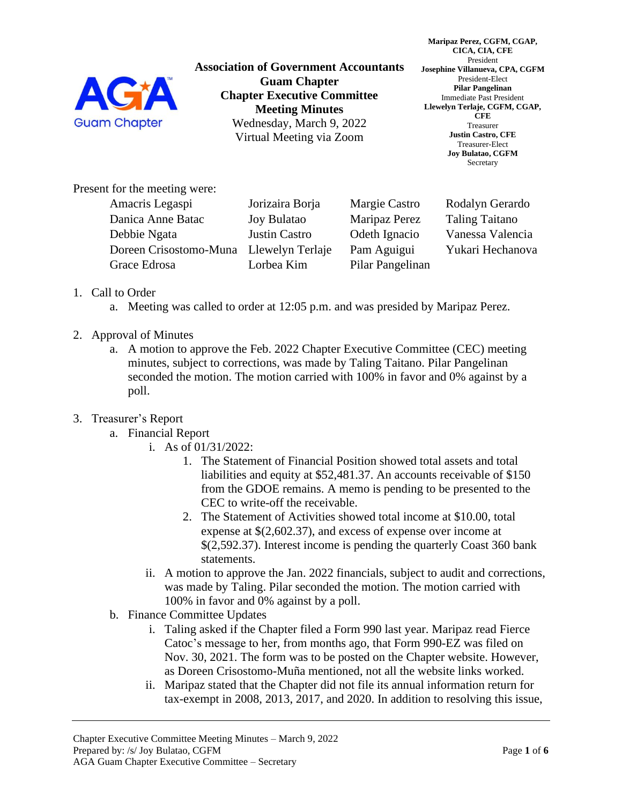

**Association of Government Accountants Guam Chapter Chapter Executive Committee Meeting Minutes** Wednesday, March 9, 2022 Virtual Meeting via Zoom

**Maripaz Perez, CGFM, CGAP, CICA, CIA, CFE** President **Josephine Villanueva, CPA, CGFM** President-Elect **Pilar Pangelinan** Immediate Past President **Llewelyn Terlaje, CGFM, CGAP, CFE** Treasurer **Justin Castro, CFE** Treasurer-Elect **Joy Bulatao, CGFM** Secretary

Present for the meeting were:

| Amacris Legaspi                         | Jorizaira Borja      | Margie Castro    | Rodalyn Gerardo       |
|-----------------------------------------|----------------------|------------------|-----------------------|
| Danica Anne Batac                       | <b>Joy Bulatao</b>   | Maripaz Perez    | <b>Taling Taitano</b> |
| Debbie Ngata                            | <b>Justin Castro</b> | Odeth Ignacio    | Vanessa Valencia      |
| Doreen Crisostomo-Muna Llewelyn Terlaje |                      | Pam Aguigui      | Yukari Hechanova      |
| Grace Edrosa                            | Lorbea Kim           | Pilar Pangelinan |                       |

## 1. Call to Order

- a. Meeting was called to order at 12:05 p.m. and was presided by Maripaz Perez.
- 2. Approval of Minutes
	- a. A motion to approve the Feb. 2022 Chapter Executive Committee (CEC) meeting minutes, subject to corrections, was made by Taling Taitano. Pilar Pangelinan seconded the motion. The motion carried with 100% in favor and 0% against by a poll.

## 3. Treasurer's Report

- a. Financial Report
	- i. As of 01/31/2022:
		- 1. The Statement of Financial Position showed total assets and total liabilities and equity at \$52,481.37. An accounts receivable of \$150 from the GDOE remains. A memo is pending to be presented to the CEC to write-off the receivable.
		- 2. The Statement of Activities showed total income at \$10.00, total expense at \$(2,602.37), and excess of expense over income at \$(2,592.37). Interest income is pending the quarterly Coast 360 bank statements.
		- ii. A motion to approve the Jan. 2022 financials, subject to audit and corrections, was made by Taling. Pilar seconded the motion. The motion carried with 100% in favor and 0% against by a poll.
- b. Finance Committee Updates
	- i. Taling asked if the Chapter filed a Form 990 last year. Maripaz read Fierce Catoc's message to her, from months ago, that Form 990-EZ was filed on Nov. 30, 2021. The form was to be posted on the Chapter website. However, as Doreen Crisostomo-Muña mentioned, not all the website links worked.
	- ii. Maripaz stated that the Chapter did not file its annual information return for tax-exempt in 2008, 2013, 2017, and 2020. In addition to resolving this issue,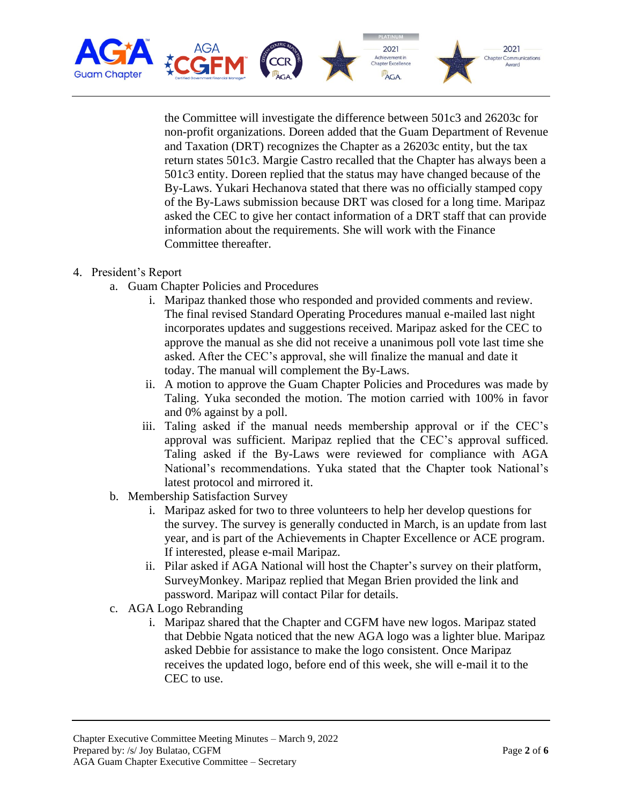

the Committee will investigate the difference between 501c3 and 26203c for non-profit organizations. Doreen added that the Guam Department of Revenue and Taxation (DRT) recognizes the Chapter as a 26203c entity, but the tax return states 501c3. Margie Castro recalled that the Chapter has always been a 501c3 entity. Doreen replied that the status may have changed because of the By-Laws. Yukari Hechanova stated that there was no officially stamped copy of the By-Laws submission because DRT was closed for a long time. Maripaz asked the CEC to give her contact information of a DRT staff that can provide information about the requirements. She will work with the Finance Committee thereafter.

- 4. President's Report
	- a. Guam Chapter Policies and Procedures
		- i. Maripaz thanked those who responded and provided comments and review. The final revised Standard Operating Procedures manual e-mailed last night incorporates updates and suggestions received. Maripaz asked for the CEC to approve the manual as she did not receive a unanimous poll vote last time she asked. After the CEC's approval, she will finalize the manual and date it today. The manual will complement the By-Laws.
		- ii. A motion to approve the Guam Chapter Policies and Procedures was made by Taling. Yuka seconded the motion. The motion carried with 100% in favor and 0% against by a poll.
		- iii. Taling asked if the manual needs membership approval or if the CEC's approval was sufficient. Maripaz replied that the CEC's approval sufficed. Taling asked if the By-Laws were reviewed for compliance with AGA National's recommendations. Yuka stated that the Chapter took National's latest protocol and mirrored it.
	- b. Membership Satisfaction Survey
		- i. Maripaz asked for two to three volunteers to help her develop questions for the survey. The survey is generally conducted in March, is an update from last year, and is part of the Achievements in Chapter Excellence or ACE program. If interested, please e-mail Maripaz.
		- ii. Pilar asked if AGA National will host the Chapter's survey on their platform, SurveyMonkey. Maripaz replied that Megan Brien provided the link and password. Maripaz will contact Pilar for details.
	- c. AGA Logo Rebranding
		- i. Maripaz shared that the Chapter and CGFM have new logos. Maripaz stated that Debbie Ngata noticed that the new AGA logo was a lighter blue. Maripaz asked Debbie for assistance to make the logo consistent. Once Maripaz receives the updated logo, before end of this week, she will e-mail it to the CEC to use.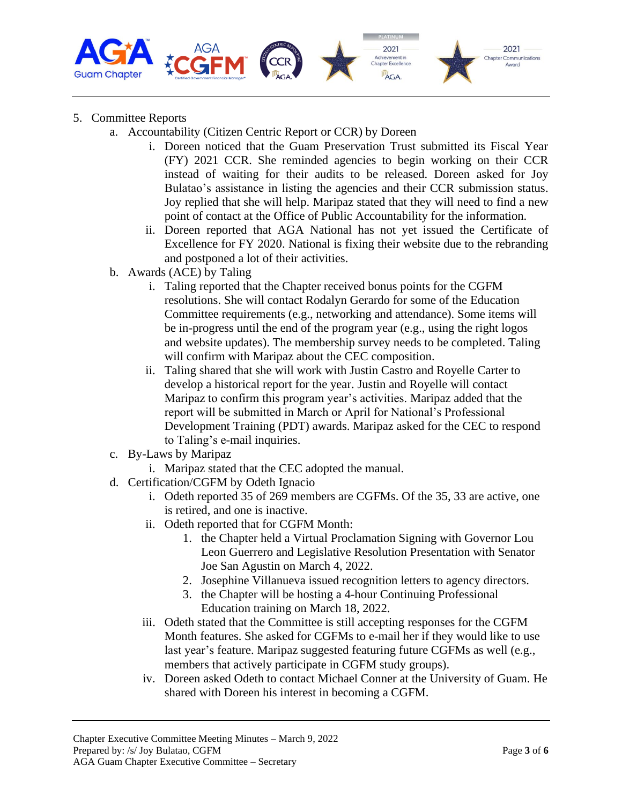

- 5. Committee Reports
	- a. Accountability (Citizen Centric Report or CCR) by Doreen
		- i. Doreen noticed that the Guam Preservation Trust submitted its Fiscal Year (FY) 2021 CCR. She reminded agencies to begin working on their CCR instead of waiting for their audits to be released. Doreen asked for Joy Bulatao's assistance in listing the agencies and their CCR submission status. Joy replied that she will help. Maripaz stated that they will need to find a new point of contact at the Office of Public Accountability for the information.
		- ii. Doreen reported that AGA National has not yet issued the Certificate of Excellence for FY 2020. National is fixing their website due to the rebranding and postponed a lot of their activities.
	- b. Awards (ACE) by Taling
		- i. Taling reported that the Chapter received bonus points for the CGFM resolutions. She will contact Rodalyn Gerardo for some of the Education Committee requirements (e.g., networking and attendance). Some items will be in-progress until the end of the program year (e.g., using the right logos and website updates). The membership survey needs to be completed. Taling will confirm with Maripaz about the CEC composition.
		- ii. Taling shared that she will work with Justin Castro and Royelle Carter to develop a historical report for the year. Justin and Royelle will contact Maripaz to confirm this program year's activities. Maripaz added that the report will be submitted in March or April for National's Professional Development Training (PDT) awards. Maripaz asked for the CEC to respond to Taling's e-mail inquiries.
	- c. By-Laws by Maripaz
		- i. Maripaz stated that the CEC adopted the manual.
	- d. Certification/CGFM by Odeth Ignacio
		- i. Odeth reported 35 of 269 members are CGFMs. Of the 35, 33 are active, one is retired, and one is inactive.
		- ii. Odeth reported that for CGFM Month:
			- 1. the Chapter held a Virtual Proclamation Signing with Governor Lou Leon Guerrero and Legislative Resolution Presentation with Senator Joe San Agustin on March 4, 2022.
			- 2. Josephine Villanueva issued recognition letters to agency directors.
			- 3. the Chapter will be hosting a 4-hour Continuing Professional Education training on March 18, 2022.
		- iii. Odeth stated that the Committee is still accepting responses for the CGFM Month features. She asked for CGFMs to e-mail her if they would like to use last year's feature. Maripaz suggested featuring future CGFMs as well (e.g., members that actively participate in CGFM study groups).
		- iv. Doreen asked Odeth to contact Michael Conner at the University of Guam. He shared with Doreen his interest in becoming a CGFM.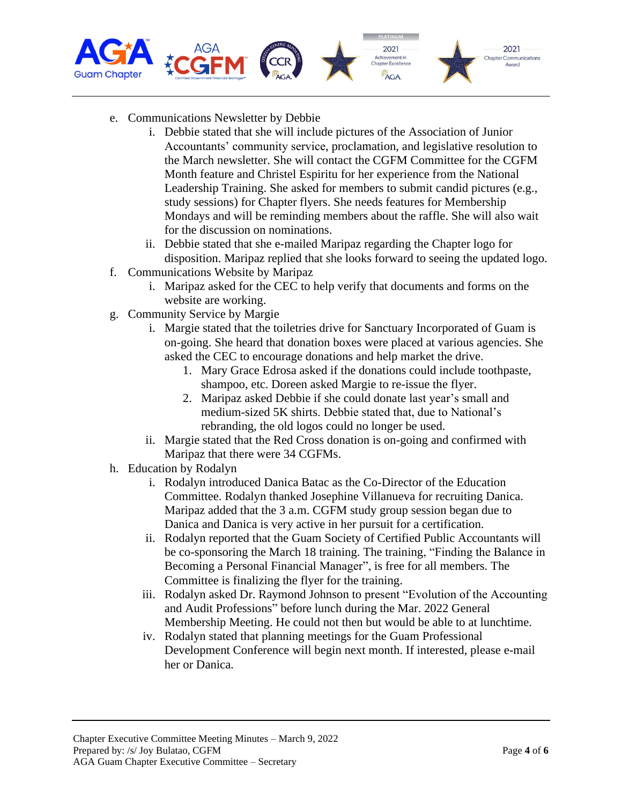

- e. Communications Newsletter by Debbie
	- i. Debbie stated that she will include pictures of the Association of Junior Accountants' community service, proclamation, and legislative resolution to the March newsletter. She will contact the CGFM Committee for the CGFM Month feature and Christel Espiritu for her experience from the National Leadership Training. She asked for members to submit candid pictures (e.g., study sessions) for Chapter flyers. She needs features for Membership Mondays and will be reminding members about the raffle. She will also wait for the discussion on nominations.
	- ii. Debbie stated that she e-mailed Maripaz regarding the Chapter logo for disposition. Maripaz replied that she looks forward to seeing the updated logo.
- f. Communications Website by Maripaz
	- i. Maripaz asked for the CEC to help verify that documents and forms on the website are working.
- g. Community Service by Margie
	- i. Margie stated that the toiletries drive for Sanctuary Incorporated of Guam is on-going. She heard that donation boxes were placed at various agencies. She asked the CEC to encourage donations and help market the drive.
		- 1. Mary Grace Edrosa asked if the donations could include toothpaste, shampoo, etc. Doreen asked Margie to re-issue the flyer.
		- 2. Maripaz asked Debbie if she could donate last year's small and medium-sized 5K shirts. Debbie stated that, due to National's rebranding, the old logos could no longer be used.
	- ii. Margie stated that the Red Cross donation is on-going and confirmed with Maripaz that there were 34 CGFMs.
- h. Education by Rodalyn
	- i. Rodalyn introduced Danica Batac as the Co-Director of the Education Committee. Rodalyn thanked Josephine Villanueva for recruiting Danica. Maripaz added that the 3 a.m. CGFM study group session began due to Danica and Danica is very active in her pursuit for a certification.
	- ii. Rodalyn reported that the Guam Society of Certified Public Accountants will be co-sponsoring the March 18 training. The training, "Finding the Balance in Becoming a Personal Financial Manager", is free for all members. The Committee is finalizing the flyer for the training.
	- iii. Rodalyn asked Dr. Raymond Johnson to present "Evolution of the Accounting and Audit Professions" before lunch during the Mar. 2022 General Membership Meeting. He could not then but would be able to at lunchtime.
	- iv. Rodalyn stated that planning meetings for the Guam Professional Development Conference will begin next month. If interested, please e-mail her or Danica.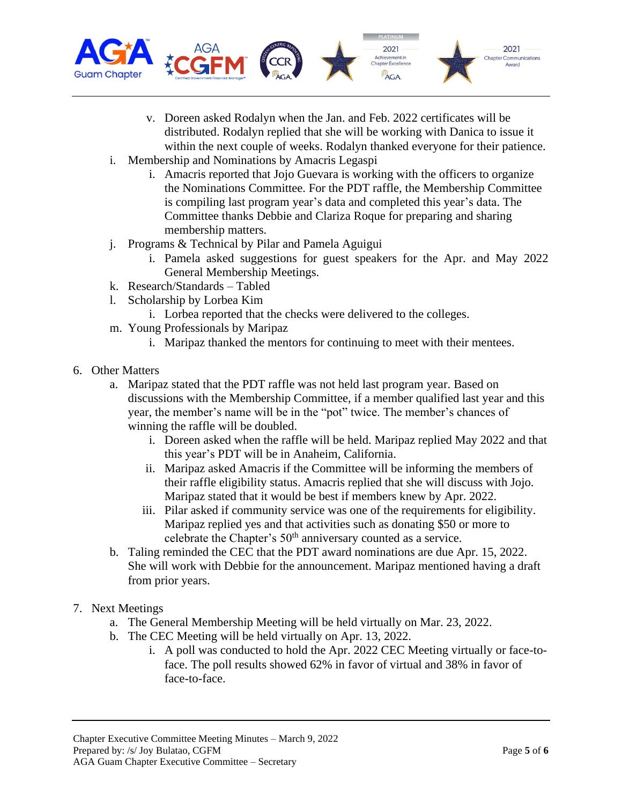

- v. Doreen asked Rodalyn when the Jan. and Feb. 2022 certificates will be distributed. Rodalyn replied that she will be working with Danica to issue it within the next couple of weeks. Rodalyn thanked everyone for their patience.
- i. Membership and Nominations by Amacris Legaspi
	- i. Amacris reported that Jojo Guevara is working with the officers to organize the Nominations Committee. For the PDT raffle, the Membership Committee is compiling last program year's data and completed this year's data. The Committee thanks Debbie and Clariza Roque for preparing and sharing membership matters.
- j. Programs & Technical by Pilar and Pamela Aguigui
	- i. Pamela asked suggestions for guest speakers for the Apr. and May 2022 General Membership Meetings.
- k. Research/Standards Tabled
- l. Scholarship by Lorbea Kim
	- i. Lorbea reported that the checks were delivered to the colleges.
- m. Young Professionals by Maripaz
	- i. Maripaz thanked the mentors for continuing to meet with their mentees.
- 6. Other Matters
	- a. Maripaz stated that the PDT raffle was not held last program year. Based on discussions with the Membership Committee, if a member qualified last year and this year, the member's name will be in the "pot" twice. The member's chances of winning the raffle will be doubled.
		- i. Doreen asked when the raffle will be held. Maripaz replied May 2022 and that this year's PDT will be in Anaheim, California.
		- ii. Maripaz asked Amacris if the Committee will be informing the members of their raffle eligibility status. Amacris replied that she will discuss with Jojo. Maripaz stated that it would be best if members knew by Apr. 2022.
		- iii. Pilar asked if community service was one of the requirements for eligibility. Maripaz replied yes and that activities such as donating \$50 or more to celebrate the Chapter's 50<sup>th</sup> anniversary counted as a service.
	- b. Taling reminded the CEC that the PDT award nominations are due Apr. 15, 2022. She will work with Debbie for the announcement. Maripaz mentioned having a draft from prior years.
- 7. Next Meetings
	- a. The General Membership Meeting will be held virtually on Mar. 23, 2022.
	- b. The CEC Meeting will be held virtually on Apr. 13, 2022.
		- i. A poll was conducted to hold the Apr. 2022 CEC Meeting virtually or face-toface. The poll results showed 62% in favor of virtual and 38% in favor of face-to-face.